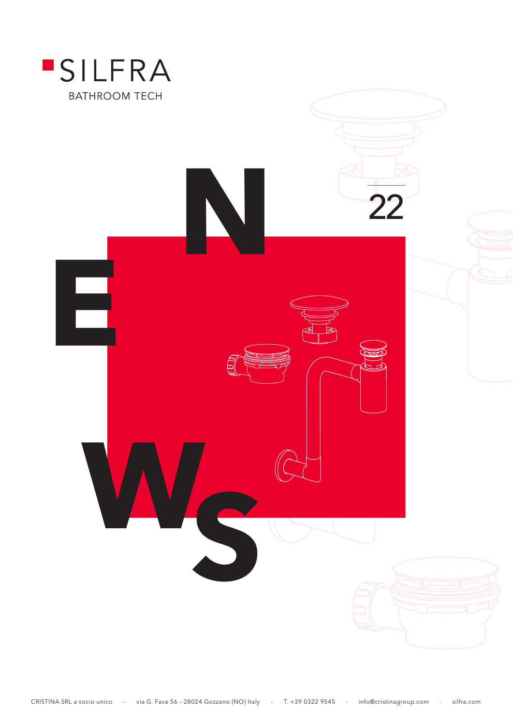